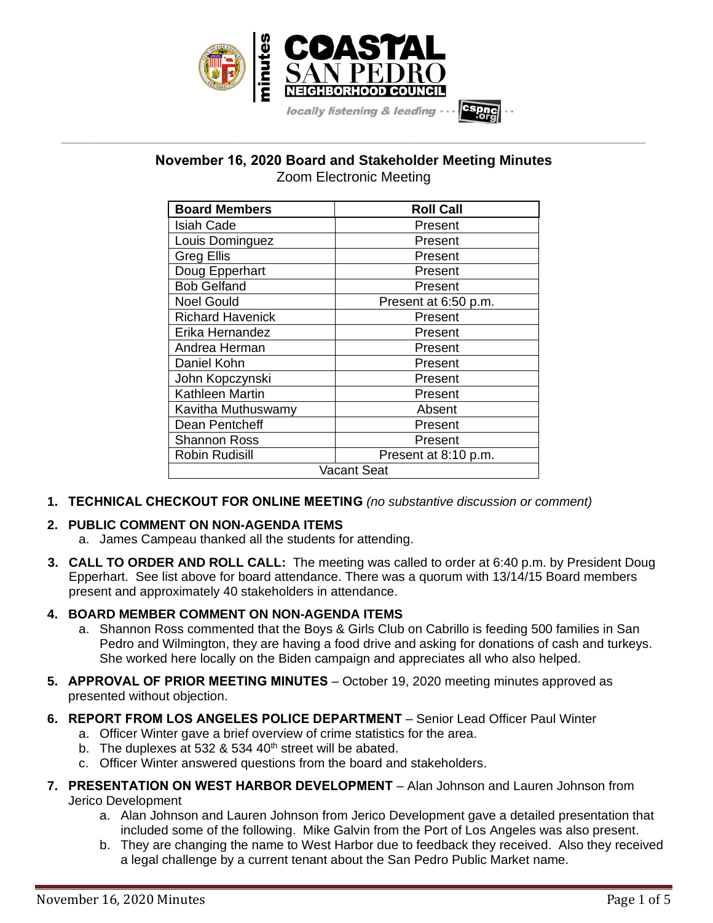

# **November 16, 2020 Board and Stakeholder Meeting Minutes** Zoom Electronic Meeting

**\_\_\_\_\_\_\_\_\_\_\_\_\_\_\_\_\_\_\_\_\_\_\_\_\_\_\_\_\_\_\_\_\_\_\_\_\_\_\_\_\_\_\_\_\_\_\_\_\_\_\_\_\_\_\_\_\_\_\_\_\_\_\_\_\_\_\_\_\_\_\_\_\_\_\_\_\_\_\_\_\_\_\_\_\_\_\_\_\_\_\_\_\_\_\_\_\_\_\_\_\_\_\_\_\_\_\_\_\_\_\_\_\_**

| <b>Board Members</b>    | <b>Roll Call</b>     |
|-------------------------|----------------------|
| Isiah Cade              | Present              |
| Louis Dominguez         | Present              |
| <b>Greg Ellis</b>       | Present              |
| Doug Epperhart          | Present              |
| <b>Bob Gelfand</b>      | Present              |
| <b>Noel Gould</b>       | Present at 6:50 p.m. |
| <b>Richard Havenick</b> | Present              |
| Erika Hernandez         | Present              |
| Andrea Herman           | Present              |
| Daniel Kohn             | Present              |
| John Kopczynski         | Present              |
| <b>Kathleen Martin</b>  | Present              |
| Kavitha Muthuswamy      | Absent               |
| Dean Pentcheff          | Present              |
| Shannon Ross            | Present              |
| <b>Robin Rudisill</b>   | Present at 8:10 p.m. |
| Vacant Seat             |                      |

**1. TECHNICAL CHECKOUT FOR ONLINE MEETING** *(no substantive discussion or comment)*

# **2. PUBLIC COMMENT ON NON-AGENDA ITEMS**

- a. James Campeau thanked all the students for attending.
- **3. CALL TO ORDER AND ROLL CALL:** The meeting was called to order at 6:40 p.m. by President Doug Epperhart. See list above for board attendance. There was a quorum with 13/14/15 Board members present and approximately 40 stakeholders in attendance.

# **4. BOARD MEMBER COMMENT ON NON-AGENDA ITEMS**

- a. Shannon Ross commented that the Boys & Girls Club on Cabrillo is feeding 500 families in San Pedro and Wilmington, they are having a food drive and asking for donations of cash and turkeys. She worked here locally on the Biden campaign and appreciates all who also helped.
- **5. APPROVAL OF PRIOR MEETING MINUTES** October 19, 2020 meeting minutes approved as presented without objection.
- **6. REPORT FROM LOS ANGELES POLICE DEPARTMENT** Senior Lead Officer Paul Winter
	- a. Officer Winter gave a brief overview of crime statistics for the area.
	- b. The duplexes at 532 & 534  $40<sup>th</sup>$  street will be abated.
	- c. Officer Winter answered questions from the board and stakeholders.
- **7. PRESENTATION ON WEST HARBOR DEVELOPMENT** Alan Johnson and Lauren Johnson from Jerico Development
	- a. Alan Johnson and Lauren Johnson from Jerico Development gave a detailed presentation that included some of the following. Mike Galvin from the Port of Los Angeles was also present.
	- b. They are changing the name to West Harbor due to feedback they received. Also they received a legal challenge by a current tenant about the San Pedro Public Market name.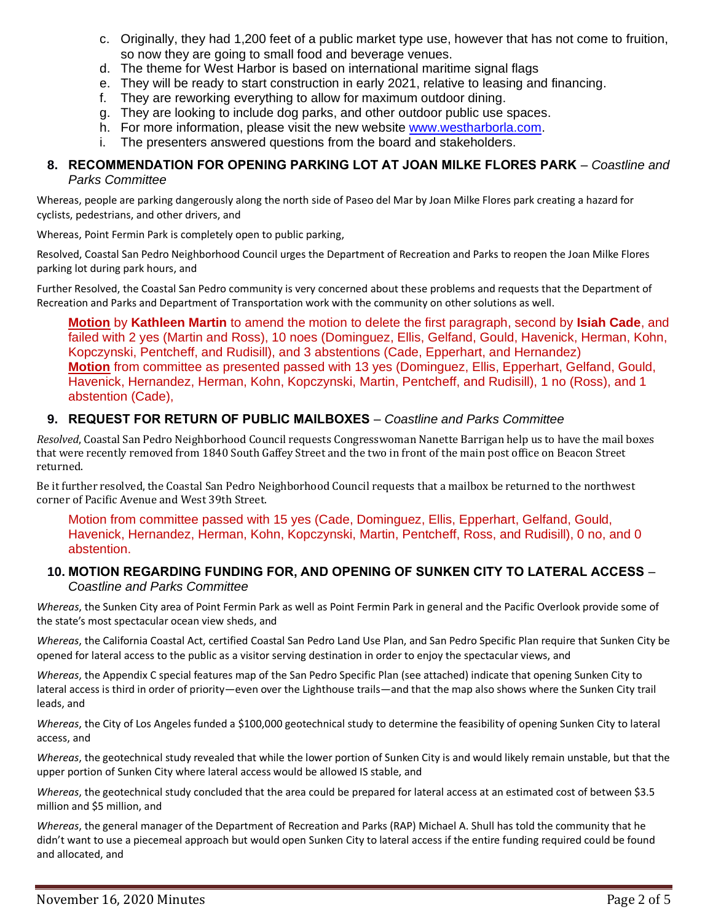- c. Originally, they had 1,200 feet of a public market type use, however that has not come to fruition, so now they are going to small food and beverage venues.
- d. The theme for West Harbor is based on international maritime signal flags
- e. They will be ready to start construction in early 2021, relative to leasing and financing.
- f. They are reworking everything to allow for maximum outdoor dining.
- g. They are looking to include dog parks, and other outdoor public use spaces.
- h. For more information, please visit the new website [www.westharborla.com.](http://www.westharborla.com/)
- i. The presenters answered questions from the board and stakeholders.

#### **8. RECOMMENDATION FOR OPENING PARKING LOT AT JOAN MILKE FLORES PARK** – *Coastline and Parks Committee*

Whereas, people are parking dangerously along the north side of Paseo del Mar by Joan Milke Flores park creating a hazard for cyclists, pedestrians, and other drivers, and

Whereas, Point Fermin Park is completely open to public parking,

Resolved, Coastal San Pedro Neighborhood Council urges the Department of Recreation and Parks to reopen the Joan Milke Flores parking lot during park hours, and

Further Resolved, the Coastal San Pedro community is very concerned about these problems and requests that the Department of Recreation and Parks and Department of Transportation work with the community on other solutions as well.

**Motion** by **Kathleen Martin** to amend the motion to delete the first paragraph, second by **Isiah Cade**, and failed with 2 yes (Martin and Ross), 10 noes (Dominguez, Ellis, Gelfand, Gould, Havenick, Herman, Kohn, Kopczynski, Pentcheff, and Rudisill), and 3 abstentions (Cade, Epperhart, and Hernandez) **Motion** from committee as presented passed with 13 yes (Dominguez, Ellis, Epperhart, Gelfand, Gould, Havenick, Hernandez, Herman, Kohn, Kopczynski, Martin, Pentcheff, and Rudisill), 1 no (Ross), and 1 abstention (Cade),

### **9. REQUEST FOR RETURN OF PUBLIC MAILBOXES** – *Coastline and Parks Committee*

*Resolved*, Coastal San Pedro Neighborhood Council requests Congresswoman Nanette Barrigan help us to have the mail boxes that were recently removed from 1840 South Gaffey Street and the two in front of the main post office on Beacon Street returned.

Be it further resolved, the Coastal San Pedro Neighborhood Council requests that a mailbox be returned to the northwest corner of Pacific Avenue and West 39th Street.

Motion from committee passed with 15 yes (Cade, Dominguez, Ellis, Epperhart, Gelfand, Gould, Havenick, Hernandez, Herman, Kohn, Kopczynski, Martin, Pentcheff, Ross, and Rudisill), 0 no, and 0 abstention.

### **10. MOTION REGARDING FUNDING FOR, AND OPENING OF SUNKEN CITY TO LATERAL ACCESS** – *Coastline and Parks Committee*

*Whereas*, the Sunken City area of Point Fermin Park as well as Point Fermin Park in general and the Pacific Overlook provide some of the state's most spectacular ocean view sheds, and

*Whereas*, the California Coastal Act, certified Coastal San Pedro Land Use Plan, and San Pedro Specific Plan require that Sunken City be opened for lateral access to the public as a visitor serving destination in order to enjoy the spectacular views, and

*Whereas*, the Appendix C special features map of the San Pedro Specific Plan (see attached) indicate that opening Sunken City to lateral access is third in order of priority—even over the Lighthouse trails—and that the map also shows where the Sunken City trail leads, and

*Whereas*, the City of Los Angeles funded a \$100,000 geotechnical study to determine the feasibility of opening Sunken City to lateral access, and

*Whereas*, the geotechnical study revealed that while the lower portion of Sunken City is and would likely remain unstable, but that the upper portion of Sunken City where lateral access would be allowed IS stable, and

*Whereas*, the geotechnical study concluded that the area could be prepared for lateral access at an estimated cost of between \$3.5 million and \$5 million, and

*Whereas*, the general manager of the Department of Recreation and Parks (RAP) Michael A. Shull has told the community that he didn't want to use a piecemeal approach but would open Sunken City to lateral access if the entire funding required could be found and allocated, and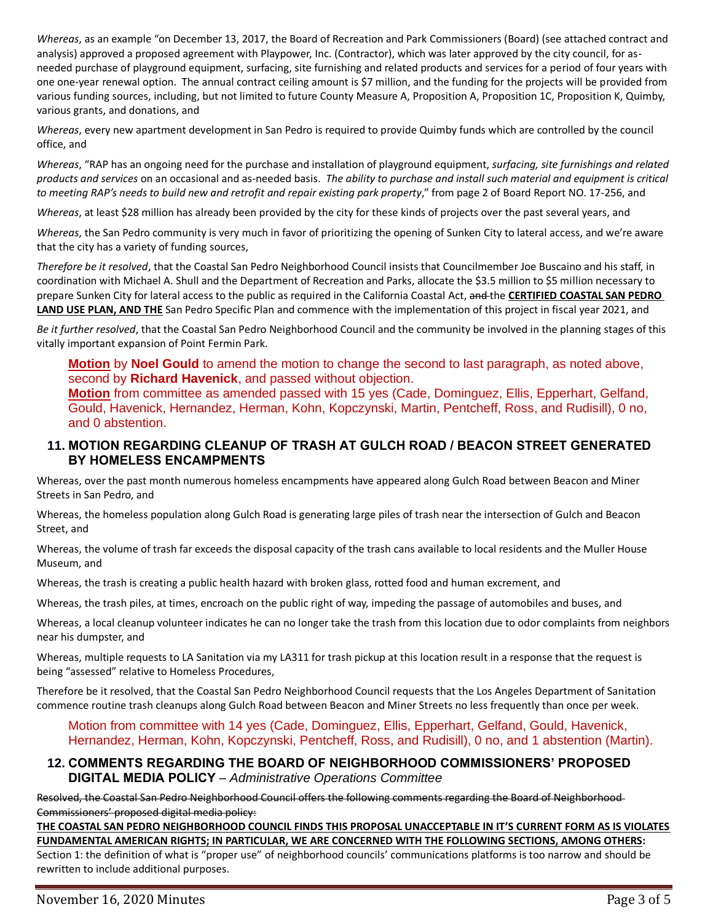*Whereas*, as an example "on December 13, 2017, the Board of Recreation and Park Commissioners (Board) (see attached contract and analysis) approved a proposed agreement with Playpower, Inc. (Contractor), which was later approved by the city council, for asneeded purchase of playground equipment, surfacing, site furnishing and related products and services for a period of four years with one one-year renewal option. The annual contract ceiling amount is \$7 million, and the funding for the projects will be provided from various funding sources, including, but not limited to future County Measure A, Proposition A, Proposition 1C, Proposition K, Quimby, various grants, and donations, and

*Whereas*, every new apartment development in San Pedro is required to provide Quimby funds which are controlled by the council office, and

*Whereas*, "RAP has an ongoing need for the purchase and installation of playground equipment, *surfacing, site furnishings and related products and services* on an occasional and as-needed basis. *The ability to purchase and install such material and equipment is critical to meeting RAP's needs to build new and retrofit and repair existing park property*," from page 2 of Board Report NO. 17-256, and

*Whereas*, at least \$28 million has already been provided by the city for these kinds of projects over the past several years, and

*Whereas*, the San Pedro community is very much in favor of prioritizing the opening of Sunken City to lateral access, and we're aware that the city has a variety of funding sources,

*Therefore be it resolved*, that the Coastal San Pedro Neighborhood Council insists that Councilmember Joe Buscaino and his staff, in coordination with Michael A. Shull and the Department of Recreation and Parks, allocate the \$3.5 million to \$5 million necessary to prepare Sunken City for lateral access to the public as required in the California Coastal Act, and the **CERTIFIED COASTAL SAN PEDRO LAND USE PLAN, AND THE** San Pedro Specific Plan and commence with the implementation of this project in fiscal year 2021, and

*Be it further resolved*, that the Coastal San Pedro Neighborhood Council and the community be involved in the planning stages of this vitally important expansion of Point Fermin Park.

**Motion** by **Noel Gould** to amend the motion to change the second to last paragraph, as noted above, second by **Richard Havenick**, and passed without objection. **Motion** from committee as amended passed with 15 yes (Cade, Dominguez, Ellis, Epperhart, Gelfand, Gould, Havenick, Hernandez, Herman, Kohn, Kopczynski, Martin, Pentcheff, Ross, and Rudisill), 0 no, and 0 abstention.

### **11. MOTION REGARDING CLEANUP OF TRASH AT GULCH ROAD / BEACON STREET GENERATED BY HOMELESS ENCAMPMENTS**

Whereas, over the past month numerous homeless encampments have appeared along Gulch Road between Beacon and Miner Streets in San Pedro, and

Whereas, the homeless population along Gulch Road is generating large piles of trash near the intersection of Gulch and Beacon Street, and

Whereas, the volume of trash far exceeds the disposal capacity of the trash cans available to local residents and the Muller House Museum, and

Whereas, the trash is creating a public health hazard with broken glass, rotted food and human excrement, and

Whereas, the trash piles, at times, encroach on the public right of way, impeding the passage of automobiles and buses, and

Whereas, a local cleanup volunteer indicates he can no longer take the trash from this location due to odor complaints from neighbors near his dumpster, and

Whereas, multiple requests to LA Sanitation via my LA311 for trash pickup at this location result in a response that the request is being "assessed" relative to Homeless Procedures,

Therefore be it resolved, that the Coastal San Pedro Neighborhood Council requests that the Los Angeles Department of Sanitation commence routine trash cleanups along Gulch Road between Beacon and Miner Streets no less frequently than once per week.

Motion from committee with 14 yes (Cade, Dominguez, Ellis, Epperhart, Gelfand, Gould, Havenick, Hernandez, Herman, Kohn, Kopczynski, Pentcheff, Ross, and Rudisill), 0 no, and 1 abstention (Martin).

### **12. COMMENTS REGARDING THE BOARD OF NEIGHBORHOOD COMMISSIONERS' PROPOSED DIGITAL MEDIA POLICY** – *Administrative Operations Committee*

Resolved, the Coastal San Pedro Neighborhood Council offers the following comments regarding the Board of Neighborhood Commissioners' proposed digital media policy:

**THE COASTAL SAN PEDRO NEIGHBORHOOD COUNCIL FINDS THIS PROPOSAL UNACCEPTABLE IN IT'S CURRENT FORM AS IS VIOLATES FUNDAMENTAL AMERICAN RIGHTS; IN PARTICULAR, WE ARE CONCERNED WITH THE FOLLOWING SECTIONS, AMONG OTHERS:**  Section 1: the definition of what is "proper use" of neighborhood councils' communications platforms is too narrow and should be rewritten to include additional purposes.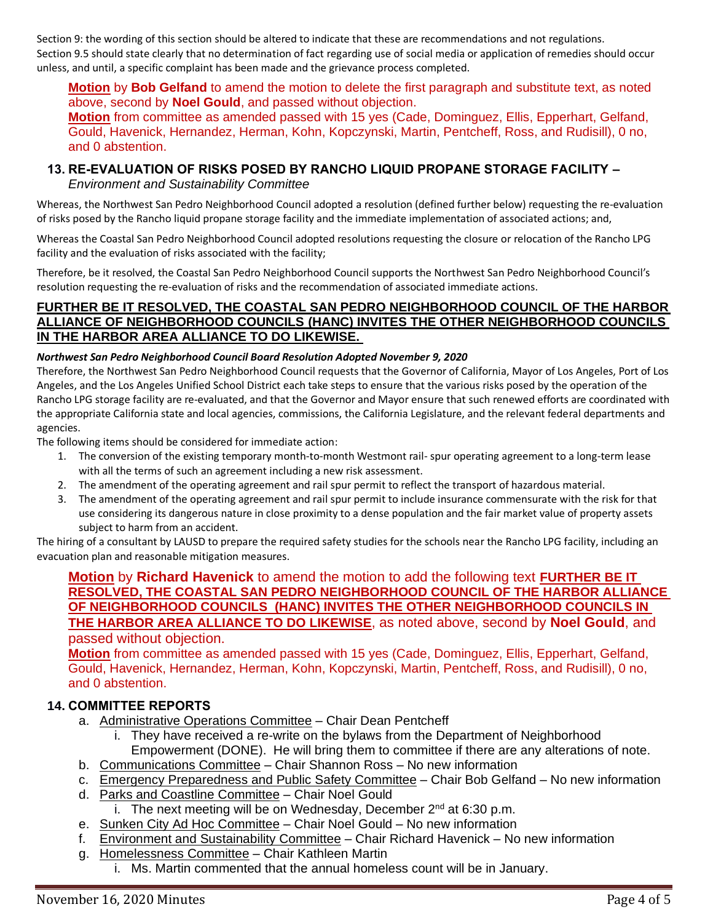Section 9: the wording of this section should be altered to indicate that these are recommendations and not regulations. Section 9.5 should state clearly that no determination of fact regarding use of social media or application of remedies should occur unless, and until, a specific complaint has been made and the grievance process completed.

**Motion** by **Bob Gelfand** to amend the motion to delete the first paragraph and substitute text, as noted above, second by **Noel Gould**, and passed without objection.

**Motion** from committee as amended passed with 15 yes (Cade, Dominguez, Ellis, Epperhart, Gelfand, Gould, Havenick, Hernandez, Herman, Kohn, Kopczynski, Martin, Pentcheff, Ross, and Rudisill), 0 no, and 0 abstention.

# **13. RE-EVALUATION OF RISKS POSED BY RANCHO LIQUID PROPANE STORAGE FACILITY –**

*Environment and Sustainability Committee*

Whereas, the Northwest San Pedro Neighborhood Council adopted a resolution (defined further below) requesting the re-evaluation of risks posed by the Rancho liquid propane storage facility and the immediate implementation of associated actions; and,

Whereas the Coastal San Pedro Neighborhood Council adopted resolutions requesting the closure or relocation of the Rancho LPG facility and the evaluation of risks associated with the facility;

Therefore, be it resolved, the Coastal San Pedro Neighborhood Council supports the Northwest San Pedro Neighborhood Council's resolution requesting the re-evaluation of risks and the recommendation of associated immediate actions.

# **FURTHER BE IT RESOLVED, THE COASTAL SAN PEDRO NEIGHBORHOOD COUNCIL OF THE HARBOR ALLIANCE OF NEIGHBORHOOD COUNCILS (HANC) INVITES THE OTHER NEIGHBORHOOD COUNCILS IN THE HARBOR AREA ALLIANCE TO DO LIKEWISE.**

### *Northwest San Pedro Neighborhood Council Board Resolution Adopted November 9, 2020*

Therefore, the Northwest San Pedro Neighborhood Council requests that the Governor of California, Mayor of Los Angeles, Port of Los Angeles, and the Los Angeles Unified School District each take steps to ensure that the various risks posed by the operation of the Rancho LPG storage facility are re-evaluated, and that the Governor and Mayor ensure that such renewed efforts are coordinated with the appropriate California state and local agencies, commissions, the California Legislature, and the relevant federal departments and agencies.

The following items should be considered for immediate action:

- 1. The conversion of the existing temporary month-to-month Westmont rail- spur operating agreement to a long-term lease with all the terms of such an agreement including a new risk assessment.
- 2. The amendment of the operating agreement and rail spur permit to reflect the transport of hazardous material.
- 3. The amendment of the operating agreement and rail spur permit to include insurance commensurate with the risk for that use considering its dangerous nature in close proximity to a dense population and the fair market value of property assets subject to harm from an accident.

The hiring of a consultant by LAUSD to prepare the required safety studies for the schools near the Rancho LPG facility, including an evacuation plan and reasonable mitigation measures.

**Motion** by **Richard Havenick** to amend the motion to add the following text **FURTHER BE IT RESOLVED, THE COASTAL SAN PEDRO NEIGHBORHOOD COUNCIL OF THE HARBOR ALLIANCE OF NEIGHBORHOOD COUNCILS (HANC) INVITES THE OTHER NEIGHBORHOOD COUNCILS IN THE HARBOR AREA ALLIANCE TO DO LIKEWISE**, as noted above, second by **Noel Gould**, and passed without objection.

**Motion** from committee as amended passed with 15 yes (Cade, Dominguez, Ellis, Epperhart, Gelfand, Gould, Havenick, Hernandez, Herman, Kohn, Kopczynski, Martin, Pentcheff, Ross, and Rudisill), 0 no, and 0 abstention.

# **14. COMMITTEE REPORTS**

- a. Administrative Operations Committee Chair Dean Pentcheff
	- i. They have received a re-write on the bylaws from the Department of Neighborhood Empowerment (DONE). He will bring them to committee if there are any alterations of note.
- b. Communications Committee Chair Shannon Ross No new information
- c. Emergency Preparedness and Public Safety Committee Chair Bob Gelfand No new information
- d. Parks and Coastline Committee Chair Noel Gould i. The next meeting will be on Wednesday, December 2<sup>nd</sup> at 6:30 p.m.
- e. Sunken City Ad Hoc Committee Chair Noel Gould No new information
- f. Environment and Sustainability Committee Chair Richard Havenick No new information
- g. Homelessness Committee Chair Kathleen Martin
	- i. Ms. Martin commented that the annual homeless count will be in January.